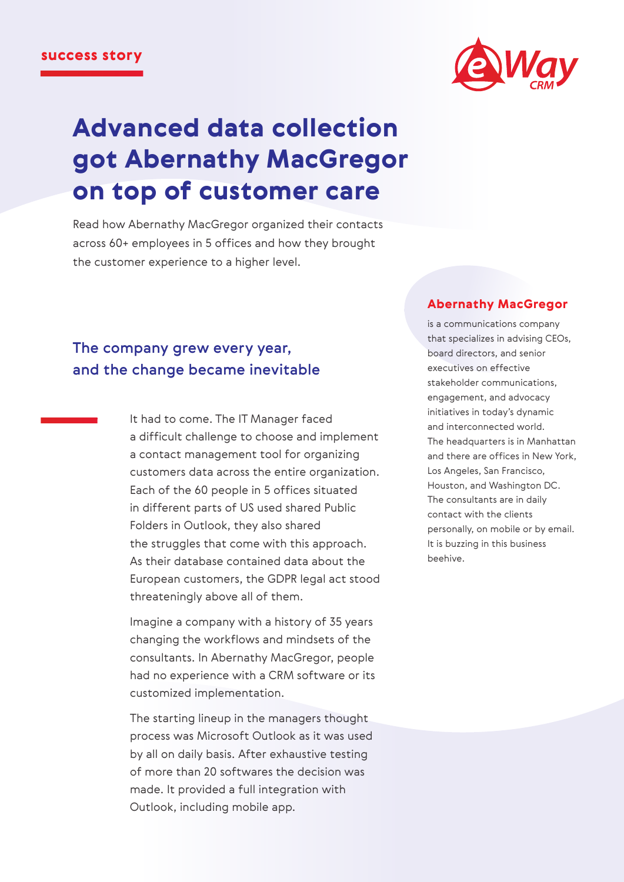

# Advanced data collection got Abernathy MacGregor on top of customer care

Read how Abernathy MacGregor organized their contacts across 60+ employees in 5 offices and how they brought the customer experience to a higher level.

#### Abernathy MacGregor

The company grew every year, and the change became inevitable

> It had to come. The IT Manager faced a difficult challenge to choose and implement a contact management tool for organizing customers data across the entire organization. Each of the 60 people in 5 offices situated in different parts of US used shared Public Folders in Outlook, they also shared the struggles that come with this approach. As their database contained data about the European customers, the GDPR legal act stood threateningly above all of them.

Imagine a company with a history of 35 years changing the workflows and mindsets of the consultants. In Abernathy MacGregor, people had no experience with a CRM software or its customized implementation.

The starting lineup in the managers thought process was Microsoft Outlook as it was used by all on daily basis. After exhaustive testing of more than 20 softwares the decision was made. It provided a full integration with Outlook, including mobile app.

is a communications company that specializes in advising CEOs, board directors, and senior executives on effective stakeholder communications, engagement, and advocacy initiatives in today's dynamic and interconnected world. The headquarters is in Manhattan and there are offices in New York, Los Angeles, San Francisco, Houston, and Washington DC. The consultants are in daily contact with the clients personally, on mobile or by email. It is buzzing in this business beehive.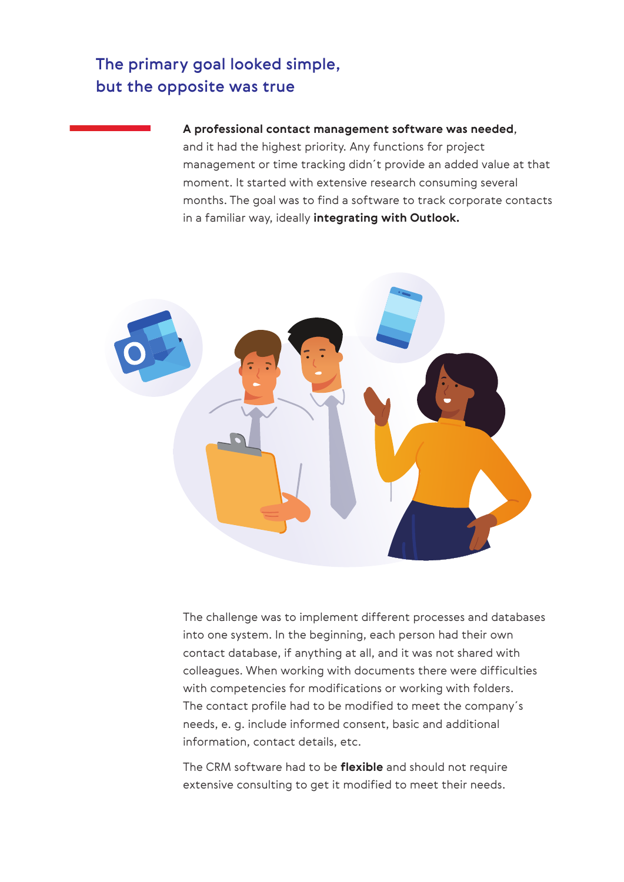# The primary goal looked simple, but the opposite was true

#### **A professional contact management software was needed**,

and it had the highest priority. Any functions for project management or time tracking didn´t provide an added value at that moment. It started with extensive research consuming several months. The goal was to find a software to track corporate contacts in a familiar way, ideally **integrating with Outlook.**



The challenge was to implement different processes and databases into one system. In the beginning, each person had their own contact database, if anything at all, and it was not shared with colleagues. When working with documents there were difficulties with competencies for modifications or working with folders. The contact profile had to be modified to meet the company´s needs, e. g. include informed consent, basic and additional information, contact details, etc.

The CRM software had to be **flexible** and should not require extensive consulting to get it modified to meet their needs.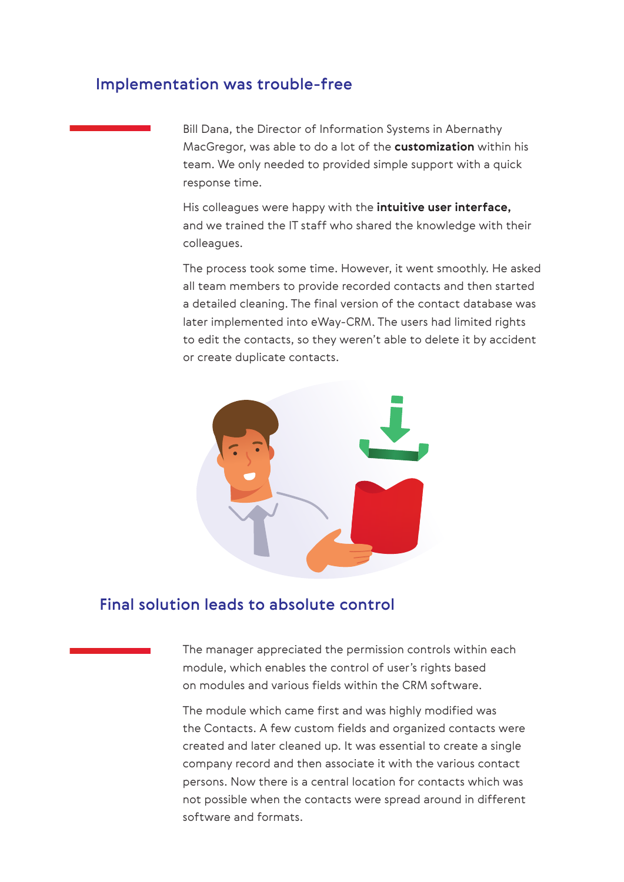### Implementation was trouble-free

Bill Dana, the Director of Information Systems in Abernathy MacGregor, was able to do a lot of the **customization** within his team. We only needed to provided simple support with a quick response time.

His colleagues were happy with the **intuitive user interface,** and we trained the IT staff who shared the knowledge with their colleagues.

The process took some time. However, it went smoothly. He asked all team members to provide recorded contacts and then started a detailed cleaning. The final version of the contact database was later implemented into eWay-CRM. The users had limited rights to edit the contacts, so they weren't able to delete it by accident or create duplicate contacts.



## Final solution leads to absolute control

The manager appreciated the permission controls within each module, which enables the control of user's rights based on modules and various fields within the CRM software.

The module which came first and was highly modified was the Contacts. A few custom fields and organized contacts were created and later cleaned up. It was essential to create a single company record and then associate it with the various contact persons. Now there is a central location for contacts which was not possible when the contacts were spread around in different software and formats.